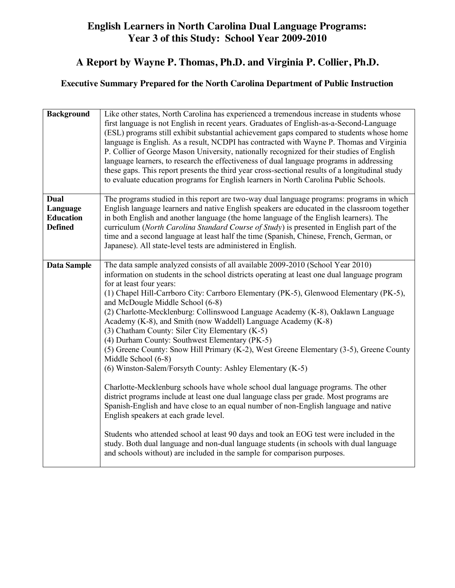## **English Learners in North Carolina Dual Language Programs: Year 3 of this Study: School Year 2009-2010**

## **A Report by Wayne P. Thomas, Ph.D. and Virginia P. Collier, Ph.D.**

## **Executive Summary Prepared for the North Carolina Department of Public Instruction**

| <b>Background</b>                                      | Like other states, North Carolina has experienced a tremendous increase in students whose<br>first language is not English in recent years. Graduates of English-as-a-Second-Language<br>(ESL) programs still exhibit substantial achievement gaps compared to students whose home<br>language is English. As a result, NCDPI has contracted with Wayne P. Thomas and Virginia<br>P. Collier of George Mason University, nationally recognized for their studies of English<br>language learners, to research the effectiveness of dual language programs in addressing<br>these gaps. This report presents the third year cross-sectional results of a longitudinal study<br>to evaluate education programs for English learners in North Carolina Public Schools.                                                                                                                                                                                                                                                                                                                                                                                                                                                                                                                                                                                                  |
|--------------------------------------------------------|----------------------------------------------------------------------------------------------------------------------------------------------------------------------------------------------------------------------------------------------------------------------------------------------------------------------------------------------------------------------------------------------------------------------------------------------------------------------------------------------------------------------------------------------------------------------------------------------------------------------------------------------------------------------------------------------------------------------------------------------------------------------------------------------------------------------------------------------------------------------------------------------------------------------------------------------------------------------------------------------------------------------------------------------------------------------------------------------------------------------------------------------------------------------------------------------------------------------------------------------------------------------------------------------------------------------------------------------------------------------|
| Dual<br>Language<br><b>Education</b><br><b>Defined</b> | The programs studied in this report are two-way dual language programs: programs in which<br>English language learners and native English speakers are educated in the classroom together<br>in both English and another language (the home language of the English learners). The<br>curriculum (North Carolina Standard Course of Study) is presented in English part of the<br>time and a second language at least half the time (Spanish, Chinese, French, German, or<br>Japanese). All state-level tests are administered in English.                                                                                                                                                                                                                                                                                                                                                                                                                                                                                                                                                                                                                                                                                                                                                                                                                           |
| Data Sample                                            | The data sample analyzed consists of all available 2009-2010 (School Year 2010)<br>information on students in the school districts operating at least one dual language program<br>for at least four years:<br>(1) Chapel Hill-Carrboro City: Carrboro Elementary (PK-5), Glenwood Elementary (PK-5),<br>and McDougle Middle School (6-8)<br>(2) Charlotte-Mecklenburg: Collinswood Language Academy (K-8), Oaklawn Language<br>Academy (K-8), and Smith (now Waddell) Language Academy (K-8)<br>(3) Chatham County: Siler City Elementary (K-5)<br>(4) Durham County: Southwest Elementary (PK-5)<br>(5) Greene County: Snow Hill Primary (K-2), West Greene Elementary (3-5), Greene County<br>Middle School (6-8)<br>(6) Winston-Salem/Forsyth County: Ashley Elementary (K-5)<br>Charlotte-Mecklenburg schools have whole school dual language programs. The other<br>district programs include at least one dual language class per grade. Most programs are<br>Spanish-English and have close to an equal number of non-English language and native<br>English speakers at each grade level.<br>Students who attended school at least 90 days and took an EOG test were included in the<br>study. Both dual language and non-dual language students (in schools with dual language<br>and schools without) are included in the sample for comparison purposes. |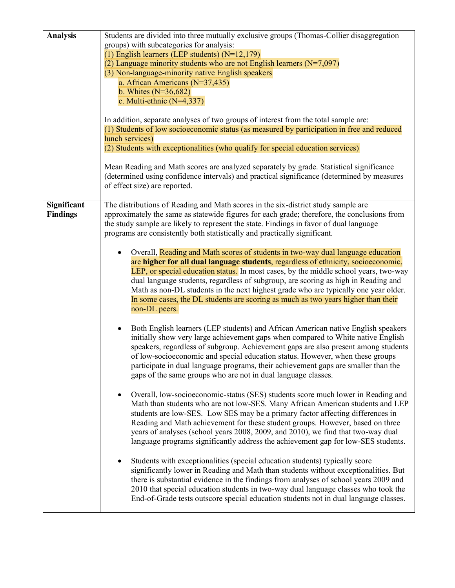| <b>Analysis</b>                | Students are divided into three mutually exclusive groups (Thomas-Collier disaggregation<br>groups) with subcategories for analysis:<br>(1) English learners (LEP students) $(N=12,179)$<br>(2) Language minority students who are not English learners $(N=7,097)$<br>(3) Non-language-minority native English speakers<br>a. African Americans (N=37,435)<br>b. Whites $(N=36,682)$<br>c. Multi-ethnic $(N=4,337)$<br>In addition, separate analyses of two groups of interest from the total sample are:<br>(1) Students of low socioeconomic status (as measured by participation in free and reduced<br>lunch services)<br>(2) Students with exceptionalities (who qualify for special education services)<br>Mean Reading and Math scores are analyzed separately by grade. Statistical significance<br>(determined using confidence intervals) and practical significance (determined by measures<br>of effect size) are reported.                                                                                                                                                                                                                                                                                                                                                                                                                                                                                                                                                                                                                                                                                                                                                                                                                                                                                                                                                                                                                                                                                                                                                                                                                                                                                                                                                                                                                                                                   |
|--------------------------------|-------------------------------------------------------------------------------------------------------------------------------------------------------------------------------------------------------------------------------------------------------------------------------------------------------------------------------------------------------------------------------------------------------------------------------------------------------------------------------------------------------------------------------------------------------------------------------------------------------------------------------------------------------------------------------------------------------------------------------------------------------------------------------------------------------------------------------------------------------------------------------------------------------------------------------------------------------------------------------------------------------------------------------------------------------------------------------------------------------------------------------------------------------------------------------------------------------------------------------------------------------------------------------------------------------------------------------------------------------------------------------------------------------------------------------------------------------------------------------------------------------------------------------------------------------------------------------------------------------------------------------------------------------------------------------------------------------------------------------------------------------------------------------------------------------------------------------------------------------------------------------------------------------------------------------------------------------------------------------------------------------------------------------------------------------------------------------------------------------------------------------------------------------------------------------------------------------------------------------------------------------------------------------------------------------------------------------------------------------------------------------------------------------------|
| Significant<br><b>Findings</b> | The distributions of Reading and Math scores in the six-district study sample are<br>approximately the same as statewide figures for each grade; therefore, the conclusions from<br>the study sample are likely to represent the state. Findings in favor of dual language<br>programs are consistently both statistically and practically significant.<br>Overall, Reading and Math scores of students in two-way dual language education<br>are higher for all dual language students, regardless of ethnicity, socioeconomic,<br>LEP, or special education status. In most cases, by the middle school years, two-way<br>dual language students, regardless of subgroup, are scoring as high in Reading and<br>Math as non-DL students in the next highest grade who are typically one year older.<br>In some cases, the DL students are scoring as much as two years higher than their<br>non-DL peers.<br>Both English learners (LEP students) and African American native English speakers<br>$\bullet$<br>initially show very large achievement gaps when compared to White native English<br>speakers, regardless of subgroup. Achievement gaps are also present among students<br>of low-socioeconomic and special education status. However, when these groups<br>participate in dual language programs, their achievement gaps are smaller than the<br>gaps of the same groups who are not in dual language classes.<br>Overall, low-socioeconomic-status (SES) students score much lower in Reading and<br>$\bullet$<br>Math than students who are not low-SES. Many African American students and LEP<br>students are low-SES. Low SES may be a primary factor affecting differences in<br>Reading and Math achievement for these student groups. However, based on three<br>years of analyses (school years 2008, 2009, and 2010), we find that two-way dual<br>language programs significantly address the achievement gap for low-SES students.<br>Students with exceptionalities (special education students) typically score<br>significantly lower in Reading and Math than students without exceptionalities. But<br>there is substantial evidence in the findings from analyses of school years 2009 and<br>2010 that special education students in two-way dual language classes who took the<br>End-of-Grade tests outscore special education students not in dual language classes. |